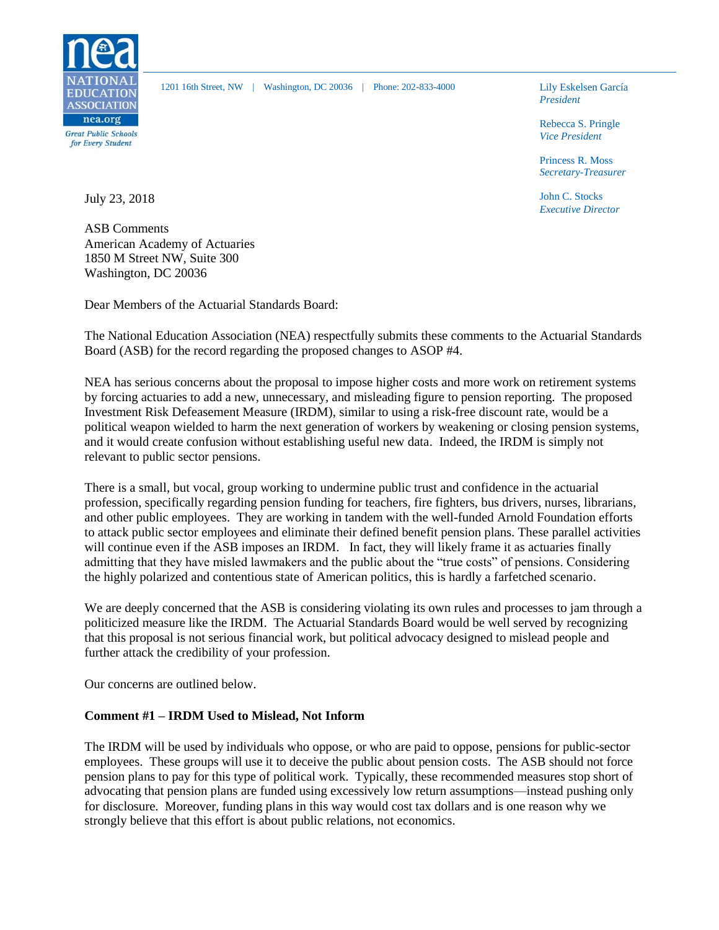

1201 16th Street, NW | Washington, DC 20036 | Phone: 202-833-4000 Lily Eskelsen García

*President*

Rebecca S. Pringle *Vice President*

Princess R. Moss *Secretary-Treasurer*

John C. Stocks *Executive Director*

July 23, 2018

ASB Comments American Academy of Actuaries 1850 M Street NW, Suite 300 Washington, DC 20036

Dear Members of the Actuarial Standards Board:

The National Education Association (NEA) respectfully submits these comments to the Actuarial Standards Board (ASB) for the record regarding the proposed changes to ASOP #4.

NEA has serious concerns about the proposal to impose higher costs and more work on retirement systems by forcing actuaries to add a new, unnecessary, and misleading figure to pension reporting. The proposed Investment Risk Defeasement Measure (IRDM), similar to using a risk-free discount rate, would be a political weapon wielded to harm the next generation of workers by weakening or closing pension systems, and it would create confusion without establishing useful new data. Indeed, the IRDM is simply not relevant to public sector pensions.

There is a small, but vocal, group working to undermine public trust and confidence in the actuarial profession, specifically regarding pension funding for teachers, fire fighters, bus drivers, nurses, librarians, and other public employees. They are working in tandem with the well-funded Arnold Foundation efforts to attack public sector employees and eliminate their defined benefit pension plans. These parallel activities will continue even if the ASB imposes an IRDM. In fact, they will likely frame it as actuaries finally admitting that they have misled lawmakers and the public about the "true costs" of pensions. Considering the highly polarized and contentious state of American politics, this is hardly a farfetched scenario.

We are deeply concerned that the ASB is considering violating its own rules and processes to jam through a politicized measure like the IRDM. The Actuarial Standards Board would be well served by recognizing that this proposal is not serious financial work, but political advocacy designed to mislead people and further attack the credibility of your profession.

Our concerns are outlined below.

#### **Comment #1 – IRDM Used to Mislead, Not Inform**

The IRDM will be used by individuals who oppose, or who are paid to oppose, pensions for public-sector employees. These groups will use it to deceive the public about pension costs. The ASB should not force pension plans to pay for this type of political work. Typically, these recommended measures stop short of advocating that pension plans are funded using excessively low return assumptions—instead pushing only for disclosure. Moreover, funding plans in this way would cost tax dollars and is one reason why we strongly believe that this effort is about public relations, not economics.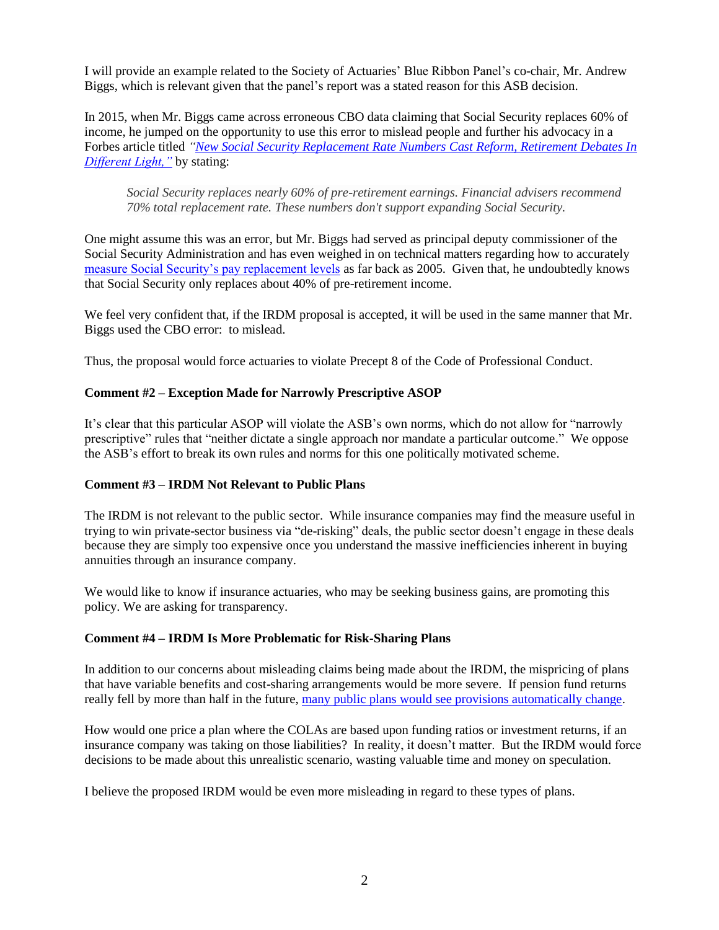I will provide an example related to the Society of Actuaries' Blue Ribbon Panel's co-chair, Mr. Andrew Biggs, which is relevant given that the panel's report was a stated reason for this ASB decision.

In 2015, when Mr. Biggs came across erroneous CBO data claiming that Social Security replaces 60% of income, he jumped on the opportunity to use this error to mislead people and further his advocacy in a Forbes article titled *["New Social Security Replacement Rate Numbers Cast Reform, Retirement Debates In](https://www.forbes.com/sites/andrewbiggs/2015/12/23/new-social-security-replacement-rate-numbers-cast-reform-retirement-debates-in-different-light/#6335ad266195)  [Different Light,"](https://www.forbes.com/sites/andrewbiggs/2015/12/23/new-social-security-replacement-rate-numbers-cast-reform-retirement-debates-in-different-light/#6335ad266195)* by stating:

*Social Security replaces nearly 60% of pre-retirement earnings. Financial advisers recommend 70% total replacement rate. These numbers don't support expanding Social Security.* 

One might assume this was an error, but Mr. Biggs had served as principal deputy commissioner of the Social Security Administration and has even weighed in on technical matters regarding how to accurately [measure Social Security's pay replacement levels](https://www.ssa.gov/policy/docs/ssb/v68n2/v68n2p1.html) as far back as 2005. Given that, he undoubtedly knows that Social Security only replaces about 40% of pre-retirement income.

We feel very confident that, if the IRDM proposal is accepted, it will be used in the same manner that Mr. Biggs used the CBO error: to mislead.

Thus, the proposal would force actuaries to violate Precept 8 of the Code of Professional Conduct.

# **Comment #2 – Exception Made for Narrowly Prescriptive ASOP**

It's clear that this particular ASOP will violate the ASB's own norms, which do not allow for "narrowly prescriptive" rules that "neither dictate a single approach nor mandate a particular outcome." We oppose the ASB's effort to break its own rules and norms for this one politically motivated scheme.

#### **Comment #3 – IRDM Not Relevant to Public Plans**

The IRDM is not relevant to the public sector. While insurance companies may find the measure useful in trying to win private-sector business via "de-risking" deals, the public sector doesn't engage in these deals because they are simply too expensive once you understand the massive inefficiencies inherent in buying annuities through an insurance company.

We would like to know if insurance actuaries, who may be seeking business gains, are promoting this policy. We are asking for transparency.

#### **Comment #4 – IRDM Is More Problematic for Risk-Sharing Plans**

In addition to our concerns about misleading claims being made about the IRDM, the mispricing of plans that have variable benefits and cost-sharing arrangements would be more severe. If pension fund returns really fell by more than half in the future, [many public plans would see provisions automatically change.](https://www.nasra.org/files/Issue%20Briefs/NASRASharedRiskBrief.pdf)

How would one price a plan where the COLAs are based upon funding ratios or investment returns, if an insurance company was taking on those liabilities? In reality, it doesn't matter. But the IRDM would force decisions to be made about this unrealistic scenario, wasting valuable time and money on speculation.

I believe the proposed IRDM would be even more misleading in regard to these types of plans.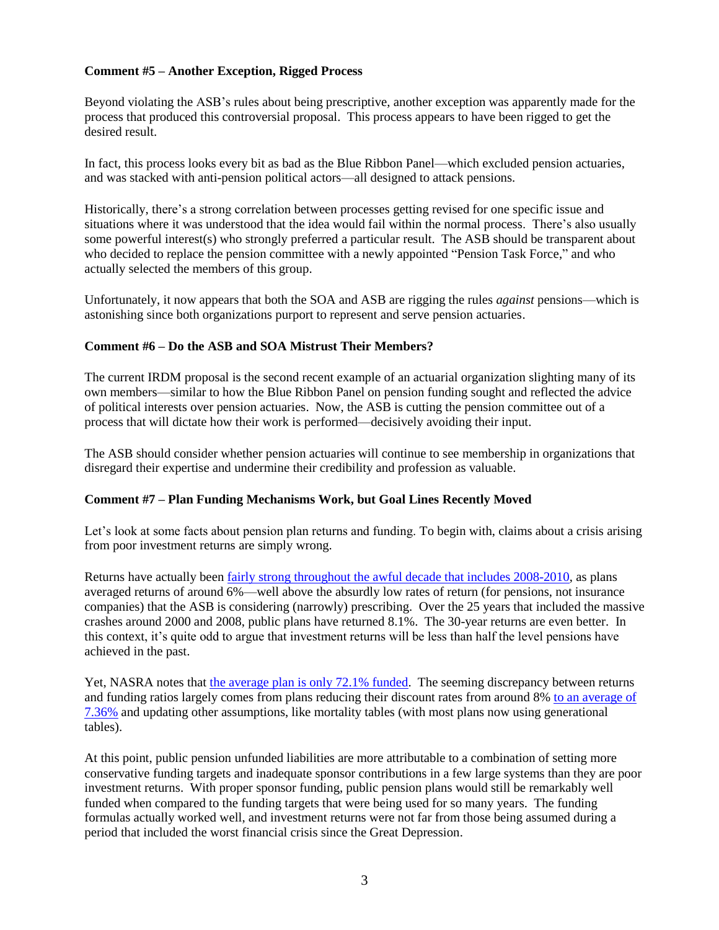# **Comment #5 – Another Exception, Rigged Process**

Beyond violating the ASB's rules about being prescriptive, another exception was apparently made for the process that produced this controversial proposal. This process appears to have been rigged to get the desired result.

In fact, this process looks every bit as bad as the Blue Ribbon Panel—which excluded pension actuaries, and was stacked with anti-pension political actors—all designed to attack pensions.

Historically, there's a strong correlation between processes getting revised for one specific issue and situations where it was understood that the idea would fail within the normal process. There's also usually some powerful interest(s) who strongly preferred a particular result. The ASB should be transparent about who decided to replace the pension committee with a newly appointed "Pension Task Force," and who actually selected the members of this group.

Unfortunately, it now appears that both the SOA and ASB are rigging the rules *against* pensions—which is astonishing since both organizations purport to represent and serve pension actuaries.

#### **Comment #6 – Do the ASB and SOA Mistrust Their Members?**

The current IRDM proposal is the second recent example of an actuarial organization slighting many of its own members—similar to how the Blue Ribbon Panel on pension funding sought and reflected the advice of political interests over pension actuaries. Now, the ASB is cutting the pension committee out of a process that will dictate how their work is performed—decisively avoiding their input.

The ASB should consider whether pension actuaries will continue to see membership in organizations that disregard their expertise and undermine their credibility and profession as valuable.

#### **Comment #7 – Plan Funding Mechanisms Work, but Goal Lines Recently Moved**

Let's look at some facts about pension plan returns and funding. To begin with, claims about a crisis arising from poor investment returns are simply wrong.

Returns have actually been [fairly strong throughout the awful decade that includes 2008-2010,](https://www.nasra.org/files/Issue%20Briefs/NASRAInvReturnAssumptBrief.pdf) as plans averaged returns of around 6%—well above the absurdly low rates of return (for pensions, not insurance companies) that the ASB is considering (narrowly) prescribing. Over the 25 years that included the massive crashes around 2000 and 2008, public plans have returned 8.1%. The 30-year returns are even better. In this context, it's quite odd to argue that investment returns will be less than half the level pensions have achieved in the past.

Yet, NASRA notes that [the average plan is only 72.1% funded.](https://www.nasra.org/publicfundsurvey) The seeming discrepancy between returns and funding ratios largely comes from plans reducing their discount rates from around 8% [to an average of](https://www.nasra.org/files/Issue%20Briefs/NASRAInvReturnAssumptBrief.pdf)  [7.36%](https://www.nasra.org/files/Issue%20Briefs/NASRAInvReturnAssumptBrief.pdf) and updating other assumptions, like mortality tables (with most plans now using generational tables).

At this point, public pension unfunded liabilities are more attributable to a combination of setting more conservative funding targets and inadequate sponsor contributions in a few large systems than they are poor investment returns. With proper sponsor funding, public pension plans would still be remarkably well funded when compared to the funding targets that were being used for so many years. The funding formulas actually worked well, and investment returns were not far from those being assumed during a period that included the worst financial crisis since the Great Depression.